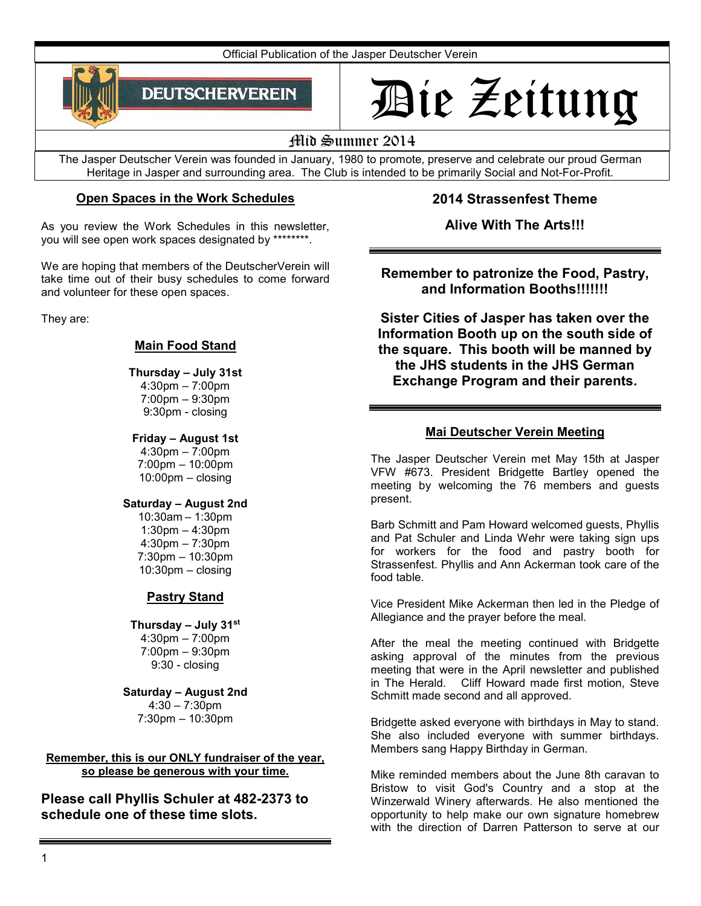Official Publication of the Jasper Deutscher Verein



# Die Zeitung

# Mid Summer 2014

The Jasper Deutscher Verein was founded in January, 1980 to promote, preserve and celebrate our proud German Heritage in Jasper and surrounding area. The Club is intended to be primarily Social and Not-For-Profit.

# **Open Spaces in the Work Schedules**

As you review the Work Schedules in this newsletter, you will see open work spaces designated by \*\*\*\*\*\*\*\*.

We are hoping that members of the DeutscherVerein will take time out of their busy schedules to come forward and volunteer for these open spaces.

They are:

# **Main Food Stand**

# **Thursday – July 31st**

4:30pm – 7:00pm 7:00pm – 9:30pm 9:30pm - closing

## **Friday – August 1st**

4:30pm – 7:00pm 7:00pm – 10:00pm 10:00pm – closing

## **Saturday – August 2nd**

10:30am – 1:30pm 1:30pm – 4:30pm 4:30pm – 7:30pm 7:30pm – 10:30pm 10:30pm – closing

# **Pastry Stand**

#### **Thursday – July 31st**

4:30pm – 7:00pm 7:00pm – 9:30pm 9:30 - closing

# **Saturday – August 2nd**

 $4:30 - 7:30$ pm 7:30pm – 10:30pm

#### **Remember, this is our ONLY fundraiser of the year, so please be generous with your time.**

**Please call Phyllis Schuler at 482-2373 to schedule one of these time slots.** 

**2014 Strassenfest Theme** 

**Alive With The Arts!!!** 

# **Remember to patronize the Food, Pastry, and Information Booths!!!!!!!**

**Sister Cities of Jasper has taken over the Information Booth up on the south side of the square. This booth will be manned by the JHS students in the JHS German Exchange Program and their parents.** 

# **Mai Deutscher Verein Meeting**

The Jasper Deutscher Verein met May 15th at Jasper VFW #673. President Bridgette Bartley opened the meeting by welcoming the 76 members and guests present.

Barb Schmitt and Pam Howard welcomed guests, Phyllis and Pat Schuler and Linda Wehr were taking sign ups for workers for the food and pastry booth for Strassenfest. Phyllis and Ann Ackerman took care of the food table.

Vice President Mike Ackerman then led in the Pledge of Allegiance and the prayer before the meal.

After the meal the meeting continued with Bridgette asking approval of the minutes from the previous meeting that were in the April newsletter and published in The Herald. Cliff Howard made first motion, Steve Schmitt made second and all approved.

Bridgette asked everyone with birthdays in May to stand. She also included everyone with summer birthdays. Members sang Happy Birthday in German.

Mike reminded members about the June 8th caravan to Bristow to visit God's Country and a stop at the Winzerwald Winery afterwards. He also mentioned the opportunity to help make our own signature homebrew with the direction of Darren Patterson to serve at our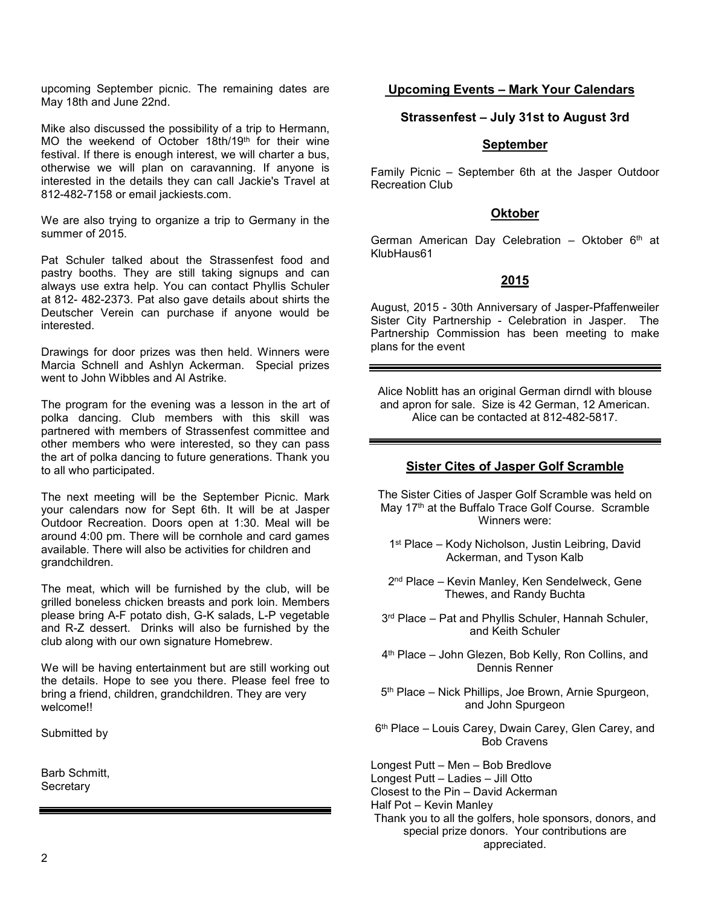upcoming September picnic. The remaining dates are May 18th and June 22nd.

Mike also discussed the possibility of a trip to Hermann, MO the weekend of October 18th/19th for their wine festival. If there is enough interest, we will charter a bus, otherwise we will plan on caravanning. If anyone is interested in the details they can call Jackie's Travel at 812-482-7158 or email jackiests.com.

We are also trying to organize a trip to Germany in the summer of 2015.

Pat Schuler talked about the Strassenfest food and pastry booths. They are still taking signups and can always use extra help. You can contact Phyllis Schuler at 812- 482-2373. Pat also gave details about shirts the Deutscher Verein can purchase if anyone would be interested.

Drawings for door prizes was then held. Winners were Marcia Schnell and Ashlyn Ackerman. Special prizes went to John Wibbles and Al Astrike.

The program for the evening was a lesson in the art of polka dancing. Club members with this skill was partnered with members of Strassenfest committee and other members who were interested, so they can pass the art of polka dancing to future generations. Thank you to all who participated.

The next meeting will be the September Picnic. Mark your calendars now for Sept 6th. It will be at Jasper Outdoor Recreation. Doors open at 1:30. Meal will be around 4:00 pm. There will be cornhole and card games available. There will also be activities for children and grandchildren.

The meat, which will be furnished by the club, will be grilled boneless chicken breasts and pork loin. Members please bring A-F potato dish, G-K salads, L-P vegetable and R-Z dessert. Drinks will also be furnished by the club along with our own signature Homebrew.

We will be having entertainment but are still working out the details. Hope to see you there. Please feel free to bring a friend, children, grandchildren. They are very welcome!!

Submitted by

Barb Schmitt, **Secretary** 

## **Upcoming Events – Mark Your Calendars**

#### **Strassenfest – July 31st to August 3rd**

#### **September**

Family Picnic – September 6th at the Jasper Outdoor Recreation Club

#### **Oktober**

German American Day Celebration - Oktober  $6<sup>th</sup>$  at KlubHaus61

#### **2015**

August, 2015 - 30th Anniversary of Jasper-Pfaffenweiler Sister City Partnership - Celebration in Jasper. The Partnership Commission has been meeting to make plans for the event

Alice Noblitt has an original German dirndl with blouse and apron for sale. Size is 42 German, 12 American. Alice can be contacted at 812-482-5817.

#### **Sister Cites of Jasper Golf Scramble**

The Sister Cities of Jasper Golf Scramble was held on May 17<sup>th</sup> at the Buffalo Trace Golf Course. Scramble Winners were:

- 1 st Place Kody Nicholson, Justin Leibring, David Ackerman, and Tyson Kalb
- 2 nd Place Kevin Manley, Ken Sendelweck, Gene Thewes, and Randy Buchta
- 3 rd Place Pat and Phyllis Schuler, Hannah Schuler, and Keith Schuler
- 4 th Place John Glezen, Bob Kelly, Ron Collins, and Dennis Renner
- 5 th Place Nick Phillips, Joe Brown, Arnie Spurgeon, and John Spurgeon
- 6 th Place Louis Carey, Dwain Carey, Glen Carey, and Bob Cravens

Longest Putt – Men – Bob Bredlove

Longest Putt – Ladies – Jill Otto

Closest to the Pin – David Ackerman

Half Pot – Kevin Manley

Thank you to all the golfers, hole sponsors, donors, and special prize donors. Your contributions are appreciated.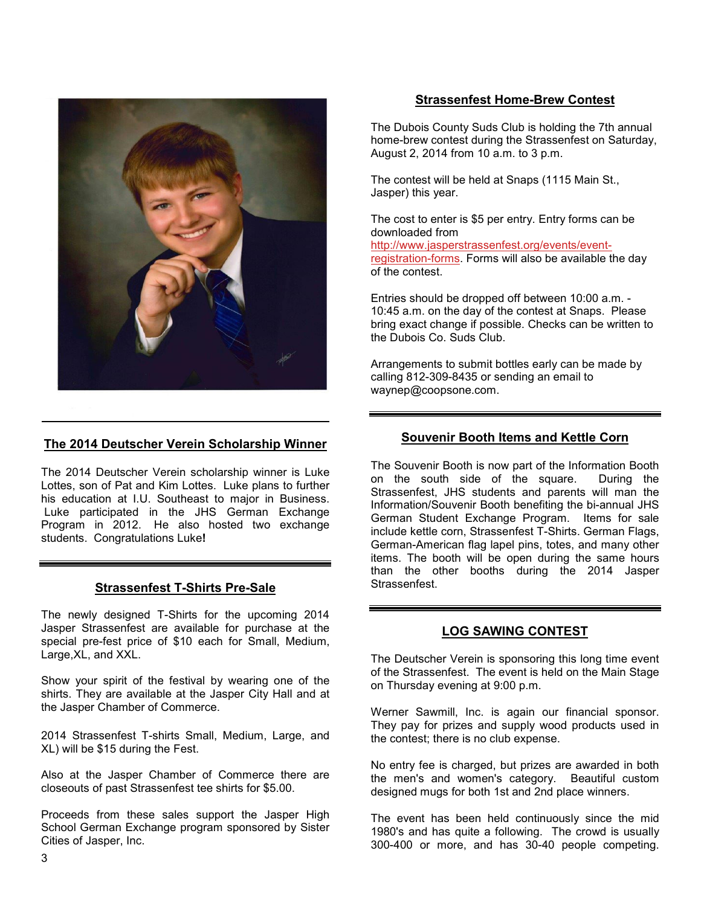

#### **The 2014 Deutscher Verein Scholarship Winner**

The 2014 Deutscher Verein scholarship winner is Luke Lottes, son of Pat and Kim Lottes. Luke plans to further his education at I.U. Southeast to major in Business. Luke participated in the JHS German Exchange Program in 2012. He also hosted two exchange students. Congratulations Luke**!** 

#### **Strassenfest T-Shirts Pre-Sale**

The newly designed T-Shirts for the upcoming 2014 Jasper Strassenfest are available for purchase at the special pre-fest price of \$10 each for Small, Medium, Large,XL, and XXL.

Show your spirit of the festival by wearing one of the shirts. They are available at the Jasper City Hall and at the Jasper Chamber of Commerce.

2014 Strassenfest T-shirts Small, Medium, Large, and XL) will be \$15 during the Fest.

Also at the Jasper Chamber of Commerce there are closeouts of past Strassenfest tee shirts for \$5.00.

Proceeds from these sales support the Jasper High School German Exchange program sponsored by Sister Cities of Jasper, Inc.

## **Strassenfest Home-Brew Contest**

The Dubois County Suds Club is holding the 7th annual home-brew contest during the Strassenfest on Saturday, August 2, 2014 from 10 a.m. to 3 p.m.

The contest will be held at Snaps (1115 Main St., Jasper) this year.

The cost to enter is \$5 per entry. Entry forms can be downloaded from

http://www.jasperstrassenfest.org/events/eventregistration-forms. Forms will also be available the day of the contest.

Entries should be dropped off between 10:00 a.m. - 10:45 a.m. on the day of the contest at Snaps. Please bring exact change if possible. Checks can be written to the Dubois Co. Suds Club.

Arrangements to submit bottles early can be made by calling 812-309-8435 or sending an email to waynep@coopsone.com.

#### **Souvenir Booth Items and Kettle Corn**

The Souvenir Booth is now part of the Information Booth on the south side of the square. During the Strassenfest, JHS students and parents will man the Information/Souvenir Booth benefiting the bi-annual JHS German Student Exchange Program. Items for sale include kettle corn, Strassenfest T-Shirts. German Flags, German-American flag lapel pins, totes, and many other items. The booth will be open during the same hours than the other booths during the 2014 Jasper **Strassenfest** 

#### **LOG SAWING CONTEST**

The Deutscher Verein is sponsoring this long time event of the Strassenfest. The event is held on the Main Stage on Thursday evening at 9:00 p.m.

Werner Sawmill, Inc. is again our financial sponsor. They pay for prizes and supply wood products used in the contest; there is no club expense.

No entry fee is charged, but prizes are awarded in both the men's and women's category. Beautiful custom designed mugs for both 1st and 2nd place winners.

The event has been held continuously since the mid 1980's and has quite a following. The crowd is usually 300-400 or more, and has 30-40 people competing.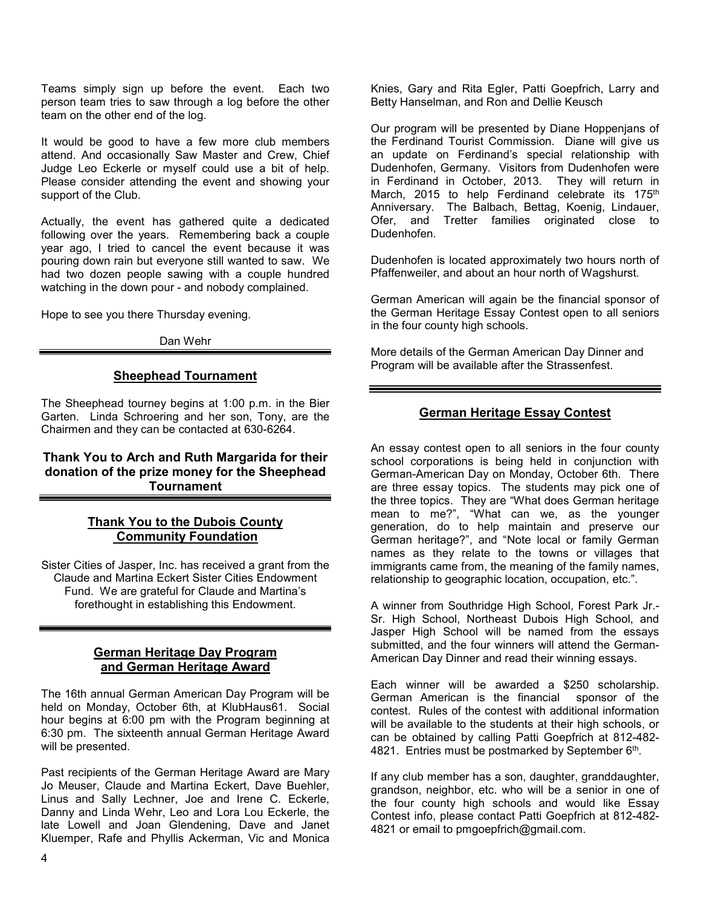Teams simply sign up before the event. Each two person team tries to saw through a log before the other team on the other end of the log.

It would be good to have a few more club members attend. And occasionally Saw Master and Crew, Chief Judge Leo Eckerle or myself could use a bit of help. Please consider attending the event and showing your support of the Club.

Actually, the event has gathered quite a dedicated following over the years. Remembering back a couple year ago, I tried to cancel the event because it was pouring down rain but everyone still wanted to saw. We had two dozen people sawing with a couple hundred watching in the down pour - and nobody complained.

Hope to see you there Thursday evening.

Dan Wehr

#### **Sheephead Tournament**

The Sheephead tourney begins at 1:00 p.m. in the Bier Garten. Linda Schroering and her son, Tony, are the Chairmen and they can be contacted at 630-6264.

#### **Thank You to Arch and Ruth Margarida for their donation of the prize money for the Sheephead Tournament**

#### **Thank You to the Dubois County Community Foundation**

Sister Cities of Jasper, Inc. has received a grant from the Claude and Martina Eckert Sister Cities Endowment Fund. We are grateful for Claude and Martina's forethought in establishing this Endowment.

#### **German Heritage Day Program and German Heritage Award**

The 16th annual German American Day Program will be held on Monday, October 6th, at KlubHaus61. Social hour begins at 6:00 pm with the Program beginning at 6:30 pm. The sixteenth annual German Heritage Award will be presented.

Past recipients of the German Heritage Award are Mary Jo Meuser, Claude and Martina Eckert, Dave Buehler, Linus and Sally Lechner, Joe and Irene C. Eckerle, Danny and Linda Wehr, Leo and Lora Lou Eckerle, the late Lowell and Joan Glendening, Dave and Janet Kluemper, Rafe and Phyllis Ackerman, Vic and Monica

Knies, Gary and Rita Egler, Patti Goepfrich, Larry and Betty Hanselman, and Ron and Dellie Keusch

Our program will be presented by Diane Hoppenjans of the Ferdinand Tourist Commission. Diane will give us an update on Ferdinand's special relationship with Dudenhofen, Germany. Visitors from Dudenhofen were in Ferdinand in October, 2013. They will return in March, 2015 to help Ferdinand celebrate its 175<sup>th</sup> Anniversary. The Balbach, Bettag, Koenig, Lindauer, Ofer, and Tretter families originated close to Dudenhofen.

Dudenhofen is located approximately two hours north of Pfaffenweiler, and about an hour north of Wagshurst.

German American will again be the financial sponsor of the German Heritage Essay Contest open to all seniors in the four county high schools.

More details of the German American Day Dinner and Program will be available after the Strassenfest.

## **German Heritage Essay Contest**

An essay contest open to all seniors in the four county school corporations is being held in conjunction with German-American Day on Monday, October 6th. There are three essay topics. The students may pick one of the three topics. They are "What does German heritage mean to me?", "What can we, as the younger generation, do to help maintain and preserve our German heritage?", and "Note local or family German names as they relate to the towns or villages that immigrants came from, the meaning of the family names, relationship to geographic location, occupation, etc.".

A winner from Southridge High School, Forest Park Jr.- Sr. High School, Northeast Dubois High School, and Jasper High School will be named from the essays submitted, and the four winners will attend the German-American Day Dinner and read their winning essays.

Each winner will be awarded a \$250 scholarship. German American is the financial sponsor of the contest. Rules of the contest with additional information will be available to the students at their high schools, or can be obtained by calling Patti Goepfrich at 812-482- 4821. Entries must be postmarked by September 6<sup>th</sup>.

If any club member has a son, daughter, granddaughter, grandson, neighbor, etc. who will be a senior in one of the four county high schools and would like Essay Contest info, please contact Patti Goepfrich at 812-482- 4821 or email to pmgoepfrich@gmail.com.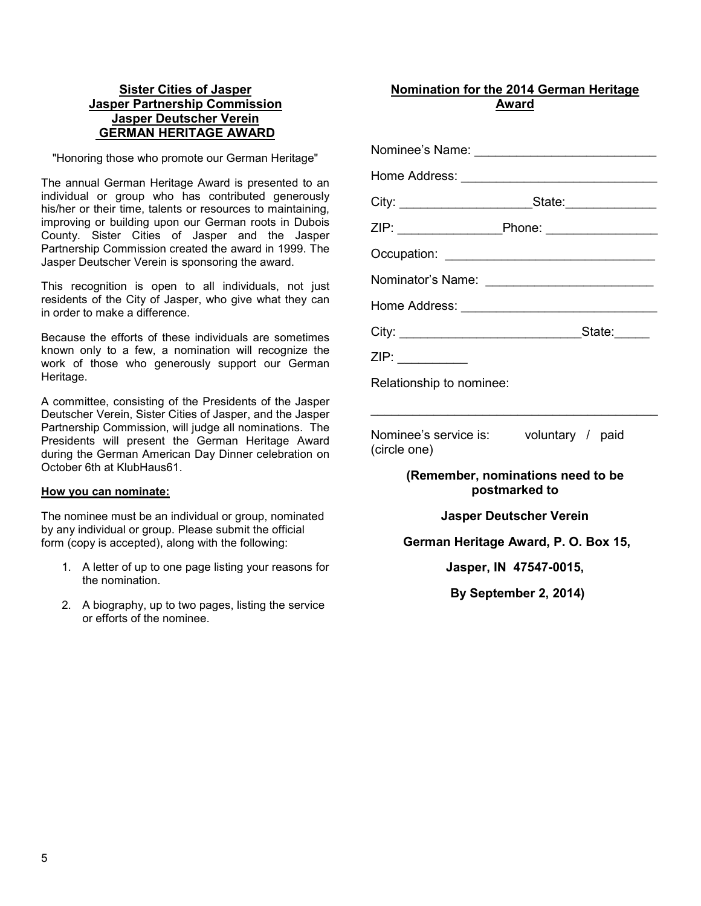## **Sister Cities of Jasper Jasper Partnership Commission Jasper Deutscher Verein GERMAN HERITAGE AWARD**

"Honoring those who promote our German Heritage"

The annual German Heritage Award is presented to an individual or group who has contributed generously his/her or their time, talents or resources to maintaining, improving or building upon our German roots in Dubois County. Sister Cities of Jasper and the Jasper Partnership Commission created the award in 1999. The Jasper Deutscher Verein is sponsoring the award.

This recognition is open to all individuals, not just residents of the City of Jasper, who give what they can in order to make a difference.

Because the efforts of these individuals are sometimes known only to a few, a nomination will recognize the work of those who generously support our German Heritage.

A committee, consisting of the Presidents of the Jasper Deutscher Verein, Sister Cities of Jasper, and the Jasper Partnership Commission, will judge all nominations. The Presidents will present the German Heritage Award during the German American Day Dinner celebration on October 6th at KlubHaus61.

#### **How you can nominate:**

The nominee must be an individual or group, nominated by any individual or group. Please submit the official form (copy is accepted), along with the following:

- 1. A letter of up to one page listing your reasons for the nomination.
- 2. A biography, up to two pages, listing the service or efforts of the nominee.

# **Nomination for the 2014 German Heritage Award**

| Nominee's Name: _______________________________          |  |
|----------------------------------------------------------|--|
| Home Address: __________________________________         |  |
| City: ____________________________State:________________ |  |
| ZIP: _______________________Phone: ___________________   |  |
| Occupation: __________________________________           |  |
| Nominator's Name: _____________________________          |  |
|                                                          |  |
|                                                          |  |
|                                                          |  |
|                                                          |  |

Relationship to nominee:

Nominee's service is: voluntary / paid (circle one)

> **(Remember, nominations need to be postmarked to**

\_\_\_\_\_\_\_\_\_\_\_\_\_\_\_\_\_\_\_\_\_\_\_\_\_\_\_\_\_\_\_\_\_\_\_\_\_\_\_\_\_

#### **Jasper Deutscher Verein**

 **German Heritage Award, P. O. Box 15,** 

**Jasper, IN 47547-0015,** 

**By September 2, 2014)**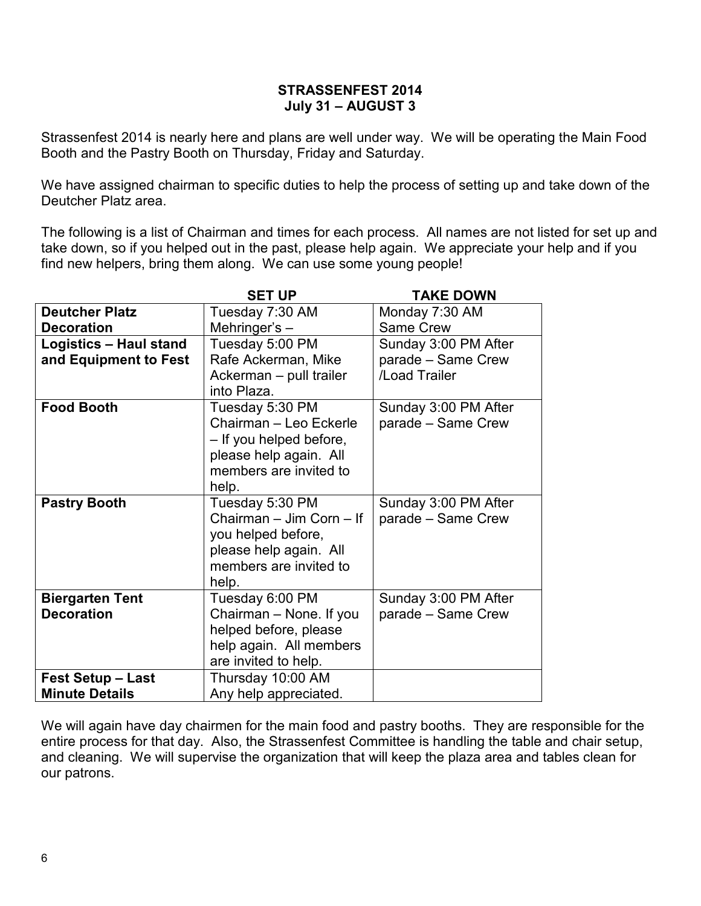# **STRASSENFEST 2014 July 31 – AUGUST 3**

Strassenfest 2014 is nearly here and plans are well under way. We will be operating the Main Food Booth and the Pastry Booth on Thursday, Friday and Saturday.

We have assigned chairman to specific duties to help the process of setting up and take down of the Deutcher Platz area.

The following is a list of Chairman and times for each process. All names are not listed for set up and take down, so if you helped out in the past, please help again. We appreciate your help and if you find new helpers, bring them along. We can use some young people!

|                          | <b>SET UP</b>            | <b>TAKE DOWN</b>     |
|--------------------------|--------------------------|----------------------|
| <b>Deutcher Platz</b>    | Tuesday 7:30 AM          | Monday 7:30 AM       |
| <b>Decoration</b>        | Mehringer's -            | Same Crew            |
| Logistics - Haul stand   | Tuesday 5:00 PM          | Sunday 3:00 PM After |
| and Equipment to Fest    | Rafe Ackerman, Mike      | parade - Same Crew   |
|                          | Ackerman - pull trailer  | /Load Trailer        |
|                          | into Plaza.              |                      |
| <b>Food Booth</b>        | Tuesday 5:30 PM          | Sunday 3:00 PM After |
|                          | Chairman - Leo Eckerle   | parade - Same Crew   |
|                          | - If you helped before,  |                      |
|                          | please help again. All   |                      |
|                          | members are invited to   |                      |
|                          | help.                    |                      |
| <b>Pastry Booth</b>      | Tuesday 5:30 PM          | Sunday 3:00 PM After |
|                          | Chairman - Jim Corn - If | parade - Same Crew   |
|                          | you helped before,       |                      |
|                          | please help again. All   |                      |
|                          | members are invited to   |                      |
|                          | help.                    |                      |
| <b>Biergarten Tent</b>   | Tuesday 6:00 PM          | Sunday 3:00 PM After |
| <b>Decoration</b>        | Chairman - None. If you  | parade - Same Crew   |
|                          | helped before, please    |                      |
|                          | help again. All members  |                      |
|                          | are invited to help.     |                      |
| <b>Fest Setup - Last</b> | Thursday 10:00 AM        |                      |
| <b>Minute Details</b>    | Any help appreciated.    |                      |

We will again have day chairmen for the main food and pastry booths. They are responsible for the entire process for that day. Also, the Strassenfest Committee is handling the table and chair setup, and cleaning. We will supervise the organization that will keep the plaza area and tables clean for our patrons.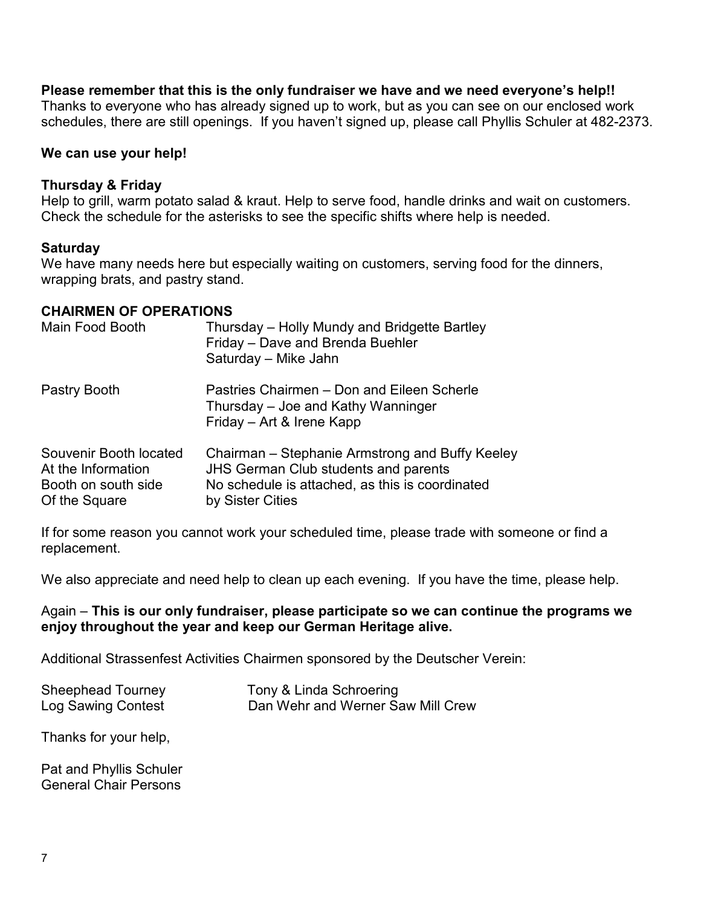# **Please remember that this is the only fundraiser we have and we need everyone's help!!**

Thanks to everyone who has already signed up to work, but as you can see on our enclosed work schedules, there are still openings. If you haven't signed up, please call Phyllis Schuler at 482-2373.

# **We can use your help!**

# **Thursday & Friday**

Help to grill, warm potato salad & kraut. Help to serve food, handle drinks and wait on customers. Check the schedule for the asterisks to see the specific shifts where help is needed.

# **Saturday**

We have many needs here but especially waiting on customers, serving food for the dinners, wrapping brats, and pastry stand.

# **CHAIRMEN OF OPERATIONS**

| Main Food Booth                                                                      | Thursday – Holly Mundy and Bridgette Bartley<br>Friday - Dave and Brenda Buehler<br>Saturday - Mike Jahn                                                              |
|--------------------------------------------------------------------------------------|-----------------------------------------------------------------------------------------------------------------------------------------------------------------------|
| Pastry Booth                                                                         | Pastries Chairmen – Don and Eileen Scherle<br>Thursday – Joe and Kathy Wanninger<br>Friday - Art & Irene Kapp                                                         |
| Souvenir Booth located<br>At the Information<br>Booth on south side<br>Of the Square | Chairman – Stephanie Armstrong and Buffy Keeley<br><b>JHS German Club students and parents</b><br>No schedule is attached, as this is coordinated<br>by Sister Cities |

If for some reason you cannot work your scheduled time, please trade with someone or find a replacement.

We also appreciate and need help to clean up each evening. If you have the time, please help.

# Again – **This is our only fundraiser, please participate so we can continue the programs we enjoy throughout the year and keep our German Heritage alive.**

Additional Strassenfest Activities Chairmen sponsored by the Deutscher Verein:

| Sheephead Tourney  | Tony & Linda Schroering           |
|--------------------|-----------------------------------|
| Log Sawing Contest | Dan Wehr and Werner Saw Mill Crew |

Thanks for your help,

Pat and Phyllis Schuler General Chair Persons